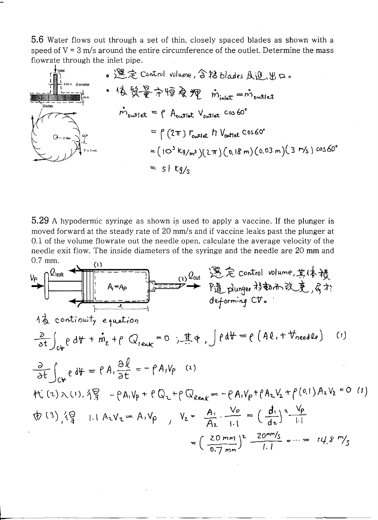5.6 Water flows out through a set of thin, closely spaced blades as shown with a speed of  $V = 3$  m/s around the entire circumference of the outlet. Determine the mass flowrate through the inlet pipe.



5.29 A hypodermic syringe as shown is used to apply a vaccine. If the plunger is moved forward at the steady rate of 20 mm/s and if vaccine leaks past the plunger at 0.1 of the volume flowrate out the needle open, calculate the average velocity of the needle exit flow. The inside diameters of the syringe and the needle are 20 mm and  $0.7$  mm.  $(1)$ 

$$
V_{P}
$$
\n
$$
\frac{Q_{\text{leak}}}{A_{1}-A_{P}}
$$
\n
$$
= -\frac{Q_{\text{out}}}{A_{P}} \sum_{\text{odd-forming } P_{\text{in}}^{\pm} \text{Gortr, N} \times R_{P}^{\pm} \times R_{P}^{\pm} \times R_{P}^{\pm} \times R_{P}^{\pm} \times R_{P}^{\pm} \times R_{P}^{\pm} \times R_{P}^{\pm} \times R_{P}^{\pm} \times R_{P}^{\pm} \times R_{P}^{\pm} \times R_{P}^{\pm} \times R_{P}^{\pm} \times R_{P}^{\pm} \times R_{P}^{\pm} \times R_{P}^{\pm} \times R_{P}^{\pm} \times R_{P}^{\pm} \times R_{P}^{\pm} \times R_{P}^{\pm} \times R_{P}^{\pm} \times R_{P}^{\pm} \times R_{P}^{\pm} \times R_{P}^{\pm} \times R_{P}^{\pm} \times R_{P}^{\pm} \times R_{P}^{\pm} \times R_{P}^{\pm} \times R_{P}^{\pm} \times R_{P}^{\pm} \times R_{P}^{\pm} \times R_{P}^{\pm} \times R_{P}^{\pm} \times R_{P}^{\pm} \times R_{P}^{\pm} \times R_{P}^{\pm} \times R_{P}^{\pm} \times R_{P}^{\pm} \times R_{P}^{\pm} \times R_{P}^{\pm} \times R_{P}^{\pm} \times R_{P}^{\pm} \times R_{P}^{\pm} \times R_{P}^{\pm} \times R_{P}^{\pm} \times R_{P}^{\pm} \times R_{P}^{\pm} \times R_{P}^{\pm} \times R_{P}^{\pm} \times R_{P}^{\pm} \times R_{P}^{\pm} \times R_{P}^{\pm} \times R_{P}^{\pm} \times R_{P}^{\pm} \times R_{P}^{\pm} \times R_{P}^{\pm} \times R_{P}^{\pm} \times R_{P}^{\pm} \times R_{P}^{\pm} \times R_{P}^{\pm} \times R_{P}^{\pm} \times R_{P}^{\pm} \times R_{P}^{\pm} \times R_{P}^{\pm} \times R_{P}^{\pm} \times R_{P}^{\pm} \times R_{P}^{\pm} \times R_{P}^{\pm} \
$$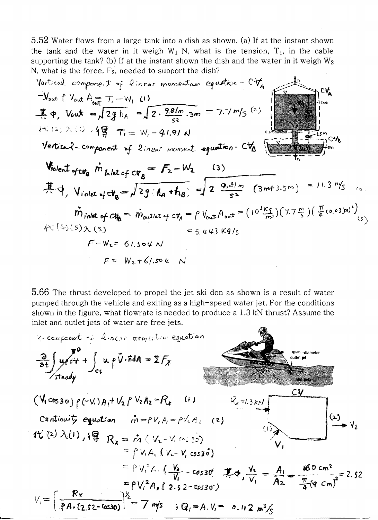5.52 Water flows from a large tank into a dish as shown. (a) If at the instant shown the tank and the water in it weigh  $W_1$  N, what is the tension,  $T_1$ , in the cable supporting the tank? (b) If at the instant shown the dish and the water in it weigh  $W_2$ N, what is the force,  $F_2$ , needed to support the dish?

Vortical, compare: 
$$
t = \frac{1}{2} \cdot \frac{2 \cdot 2 \cdot 2 \cdot 2 \cdot 3 \cdot 1}{52}
$$
  
\n
$$
-\frac{1}{2} \cdot \frac{1}{2} \cdot \frac{1}{2} \cdot \frac{1}{2} \cdot \frac{1}{2} \cdot \frac{1}{2} \cdot \frac{1}{2} \cdot \frac{1}{2} \cdot \frac{1}{2} \cdot \frac{1}{2} \cdot \frac{1}{2} \cdot \frac{1}{2} \cdot \frac{1}{2} \cdot \frac{1}{2} \cdot \frac{1}{2} \cdot \frac{1}{2} \cdot \frac{1}{2} \cdot \frac{1}{2} \cdot \frac{1}{2} \cdot \frac{1}{2} \cdot \frac{1}{2} \cdot \frac{1}{2} \cdot \frac{1}{2} \cdot \frac{1}{2} \cdot \frac{1}{2} \cdot \frac{1}{2} \cdot \frac{1}{2} \cdot \frac{1}{2} \cdot \frac{1}{2} \cdot \frac{1}{2} \cdot \frac{1}{2} \cdot \frac{1}{2} \cdot \frac{1}{2} \cdot \frac{1}{2} \cdot \frac{1}{2} \cdot \frac{1}{2} \cdot \frac{1}{2} \cdot \frac{1}{2} \cdot \frac{1}{2} \cdot \frac{1}{2} \cdot \frac{1}{2} \cdot \frac{1}{2} \cdot \frac{1}{2} \cdot \frac{1}{2} \cdot \frac{1}{2} \cdot \frac{1}{2} \cdot \frac{1}{2} \cdot \frac{1}{2} \cdot \frac{1}{2} \cdot \frac{1}{2} \cdot \frac{1}{2} \cdot \frac{1}{2} \cdot \frac{1}{2} \cdot \frac{1}{2} \cdot \frac{1}{2} \cdot \frac{1}{2} \cdot \frac{1}{2} \cdot \frac{1}{2} \cdot \frac{1}{2} \cdot \frac{1}{2} \cdot \frac{1}{2} \cdot \frac{1}{2} \cdot \frac{1}{2} \cdot \frac{1}{2} \cdot \frac{1}{2} \cdot \frac{1}{2} \cdot \frac{1}{2} \cdot \frac{1}{2} \cdot \frac{1}{2} \cdot \frac{1}{2} \cdot \frac{1}{2} \cdot \frac{1}{2} \cdot \frac{1}{2} \cdot \frac{1}{2} \cdot \frac{1}{2} \cdot \frac{1}{2} \cdot \frac{1}{2} \cdot \frac{1}{2} \cdot \frac{1}{
$$

5.66 The thrust developed to propel the jet ski don as shown is a result of water pumped through the vehicle and exiting as a high-speed water jet. For the conditions shown in the figure, what flowrate is needed to produce a 1.3 kN thrust? Assume the inlet and outlet jets of water are free jets.

$$
\frac{a}{2t} \int u f \frac{d\theta}{dt} + \int_{CS} u f \frac{d\theta}{dt} \cdot dA = \sum F_X
$$
\n
$$
\frac{d}{dt} \int u f \frac{d\theta}{dt} + \int_{CS} u f \frac{d\theta}{dt} \cdot dA = \sum F_X
$$
\n
$$
\frac{d}{dt} \int u \frac{d\theta}{dt} + \int_{CS} u f \frac{d\theta}{dt} \cdot dA = \sum F_X
$$
\n
$$
\frac{d}{dt} \int u \frac{d\theta}{dt} + \int_{CS} u f \frac{d\theta}{dt} \cdot dA = \sum F_X
$$
\n
$$
\frac{d}{dt} \int u \frac{d\theta}{dt} \cdot dA = \int_{CS} u \frac{d\theta}{dt} \cdot dA = \int_{CS} u \frac{d\theta}{dt} \cdot dA
$$
\n
$$
\frac{d}{dt} \int_{C} u \frac{d\theta}{dt} \cdot dA = \int_{C} u \frac{d\theta}{dt} \cdot dA = \int_{C} u \frac{d\theta}{dt} \cdot dA = \int_{C} u \frac{d\theta}{dt} \cdot dA = \int_{C} u \frac{d\theta}{dt} \cdot dA = \int_{C} u \frac{d\theta}{dt} \cdot dA = \int_{C} u \frac{d\theta}{dt} \cdot dA = \int_{C} u \frac{d\theta}{dt} \cdot dA = \int_{C} u \frac{d\theta}{dt} \cdot dA = \int_{C} u \frac{d\theta}{dt} \cdot dA = \int_{C} u \frac{d\theta}{dt} \cdot dA = \int_{C} u \frac{d\theta}{dt} \cdot dA = \int_{C} u \frac{d\theta}{dt} \cdot dA = \int_{C} u \frac{d\theta}{dt} \cdot dA = \int_{C} u \frac{d\theta}{dt} \cdot dA = \int_{C} u \frac{d\theta}{dt} \cdot dA = \int_{C} u \frac{d\theta}{dt} \cdot dA = \int_{C} u \frac{d\theta}{dt} \cdot dA = \int_{C} u \frac{d\theta}{dt} \cdot dA = \int_{C} u \frac{d\theta}{dt} \cdot dA = \int_{C} u \frac{d\theta}{dt} \cdot dA = \int_{C} u \frac{d\theta}{dt} \cdot dA = \int_{C} u \frac{d\theta}{dt} \cdot dA = \int
$$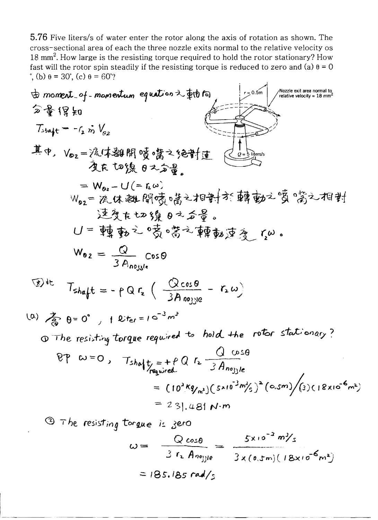5.76 Five liters/s of water enter the rotor along the axis of rotation as shown. The cross-sectional area of each the three nozzle exits normal to the relative velocity os 18 mm<sup>2</sup>. How large is the resisting torque required to hold the rotor stationary? How fast will the rotor spin steadily if the resisting torque is reduced to zero and (a)  $\theta = 0$ <sup>•</sup>, (b)  $θ = 30$ <sup>•</sup>, (c)  $θ = 60$ <sup>°</sup>?

$$
\frac{1}{2} \oint \frac{1}{3} \log \frac{1}{3} \log \frac{1}{3} \log \frac{1}{3} \log \frac{1}{3} \log \frac{1}{3} \log \frac{1}{3} \log \frac{1}{3} \log \frac{1}{3} \log \frac{1}{3} \log \frac{1}{3} \log \frac{1}{3} \log \frac{1}{3} \log \frac{1}{3} \log \frac{1}{3} \log \frac{1}{3} \log \frac{1}{3} \log \frac{1}{3} \log \frac{1}{3} \log \frac{1}{3} \log \frac{1}{3} \log \frac{1}{3} \log \frac{1}{3} \log \frac{1}{3} \log \frac{1}{3} \log \frac{1}{3} \log \frac{1}{3} \log \frac{1}{3} \log \frac{1}{3} \log \frac{1}{3} \log \frac{1}{3} \log \frac{1}{3} \log \frac{1}{3} \log \frac{1}{3} \log \frac{1}{3} \log \frac{1}{3} \log \frac{1}{3} \log \frac{1}{3} \log \frac{1}{3} \log \frac{1}{3} \log \frac{1}{3} \log \frac{1}{3} \log \frac{1}{3} \log \frac{1}{3} \log \frac{1}{3} \log \frac{1}{3} \log \frac{1}{3} \log \frac{1}{3} \log \frac{1}{3} \log \frac{1}{3} \log \frac{1}{3} \log \frac{1}{3} \log \frac{1}{3} \log \frac{1}{3} \log \frac{1}{3} \log \frac{1}{3} \log \frac{1}{3} \log \frac{1}{3} \log \frac{1}{3} \log \frac{1}{3} \log \frac{1}{3} \log \frac{1}{3} \log \frac{1}{3} \log \frac{1}{3} \log \frac{1}{3} \log \frac{1}{3} \log \frac{1}{3} \log \frac{1}{3} \log \frac{1}{3} \log \frac{1}{3} \log \frac{1}{3} \log \frac{1}{3} \log \frac{1}{3} \log \frac{1}{3} \log \frac{1}{3} \log \frac{1}{3} \log \frac{1}{3} \log \frac{1}{3} \log \frac{1}{3} \log \frac{1}{3} \log \frac{1}{3} \log \frac{1}{3} \log \frac{1}{3} \log \frac{1
$$

$$
\omega = \frac{Q \cos \theta}{3 r_2 A_{\text{ro-1}}} = \frac{5x10^{-3} m\%}{3x (0.5m) (18x10^{-6} m^3)}
$$
  
= 185.185 rad/s